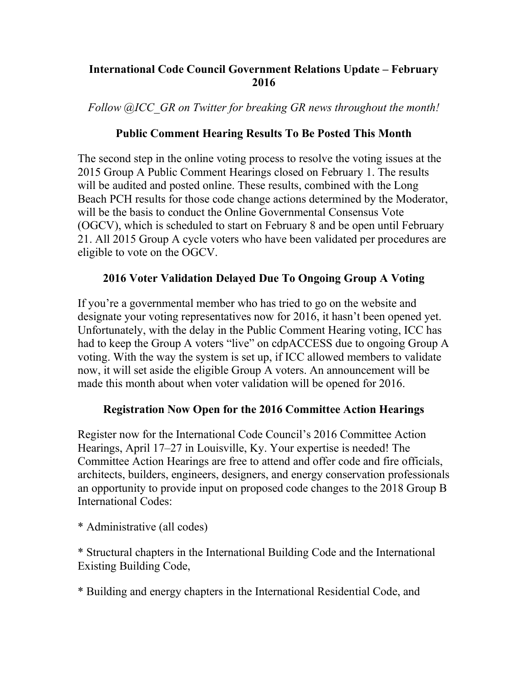#### **International Code Council Government Relations Update – February 2016**

*Follow @ICC\_GR on Twitter for breaking GR news throughout the month!*

### **Public Comment Hearing Results To Be Posted This Month**

The second step in the online voting process to resolve the voting issues at the 2015 Group A Public Comment Hearings closed on February 1. The results will be audited and posted online. These results, combined with the Long Beach PCH results for those code change actions determined by the Moderator, will be the basis to conduct the Online Governmental Consensus Vote (OGCV), which is scheduled to start on February 8 and be open until February 21. All 2015 Group A cycle voters who have been validated per procedures are eligible to vote on the OGCV.

#### **2016 Voter Validation Delayed Due To Ongoing Group A Voting**

If you're a governmental member who has tried to go on the website and designate your voting representatives now for 2016, it hasn't been opened yet. Unfortunately, with the delay in the Public Comment Hearing voting, ICC has had to keep the Group A voters "live" on cdpACCESS due to ongoing Group A voting. With the way the system is set up, if ICC allowed members to validate now, it will set aside the eligible Group A voters. An announcement will be made this month about when voter validation will be opened for 2016.

# **Registration Now Open for the 2016 Committee Action Hearings**

Register now for the International Code Council's 2016 Committee Action Hearings, April 17–27 in Louisville, Ky. Your expertise is needed! The Committee Action Hearings are free to attend and offer code and fire officials, architects, builders, engineers, designers, and energy conservation professionals an opportunity to provide input on proposed code changes to the 2018 Group B International Codes:

\* Administrative (all codes)

\* Structural chapters in the International Building Code and the International Existing Building Code,

\* Building and energy chapters in the International Residential Code, and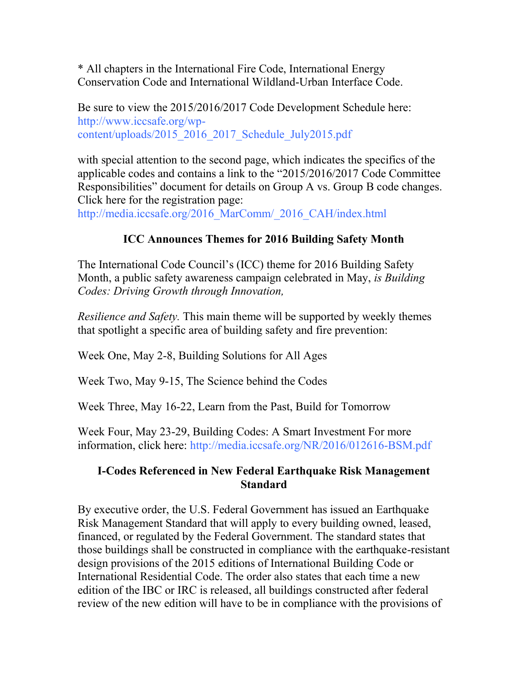\* All chapters in the International Fire Code, International Energy Conservation Code and International Wildland-Urban Interface Code.

Be sure to view the 2015/2016/2017 Code Development Schedule here: http://www.iccsafe.org/wpcontent/uploads/2015\_2016\_2017\_Schedule\_July2015.pdf

with special attention to the second page, which indicates the specifics of the applicable codes and contains a link to the "2015/2016/2017 Code Committee Responsibilities" document for details on Group A vs. Group B code changes. Click here for the registration page:

http://media.iccsafe.org/2016\_MarComm/\_2016\_CAH/index.html

# **ICC Announces Themes for 2016 Building Safety Month**

The International Code Council's (ICC) theme for 2016 Building Safety Month, a public safety awareness campaign celebrated in May, *is Building Codes: Driving Growth through Innovation,*

*Resilience and Safety.* This main theme will be supported by weekly themes that spotlight a specific area of building safety and fire prevention:

Week One, May 2-8, Building Solutions for All Ages

Week Two, May 9-15, The Science behind the Codes

Week Three, May 16-22, Learn from the Past, Build for Tomorrow

Week Four, May 23-29, Building Codes: A Smart Investment For more information, click here: http://media.iccsafe.org/NR/2016/012616-BSM.pdf

# **I-Codes Referenced in New Federal Earthquake Risk Management Standard**

By executive order, the U.S. Federal Government has issued an Earthquake Risk Management Standard that will apply to every building owned, leased, financed, or regulated by the Federal Government. The standard states that those buildings shall be constructed in compliance with the earthquake-resistant design provisions of the 2015 editions of International Building Code or International Residential Code. The order also states that each time a new edition of the IBC or IRC is released, all buildings constructed after federal review of the new edition will have to be in compliance with the provisions of